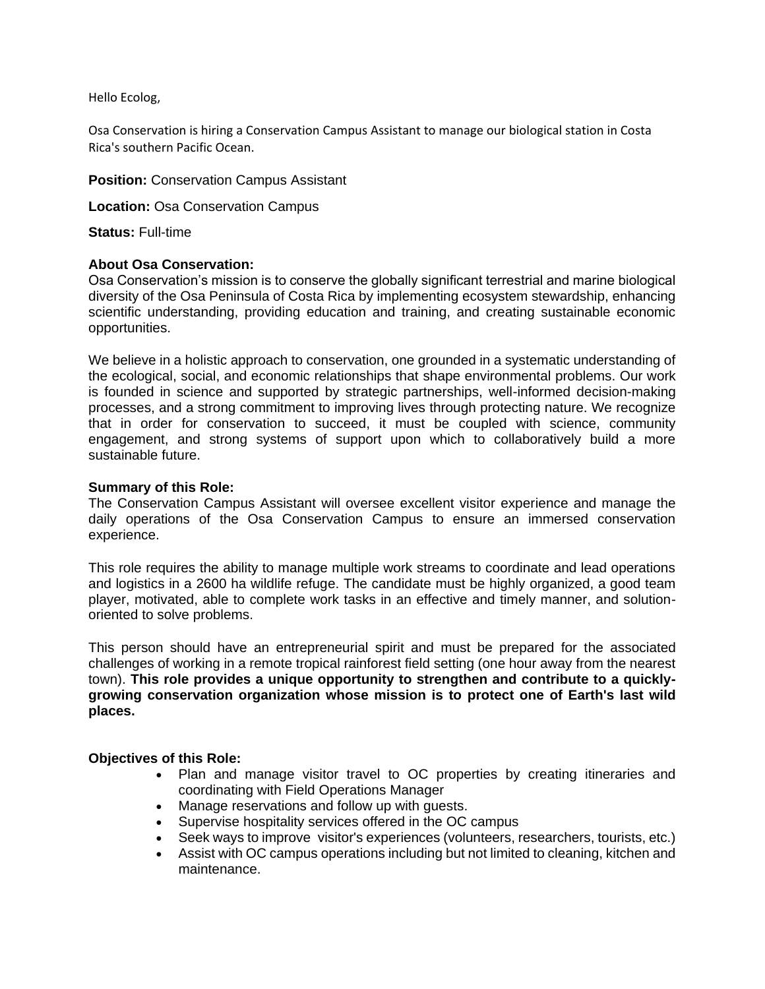Hello Ecolog,

Osa Conservation is hiring a Conservation Campus Assistant to manage our biological station in Costa Rica's southern Pacific Ocean.

#### **Position:** Conservation Campus Assistant

**Location:** Osa Conservation Campus

**Status:** Full-time

### **About Osa Conservation:**

Osa Conservation's mission is to conserve the globally significant terrestrial and marine biological diversity of the Osa Peninsula of Costa Rica by implementing ecosystem stewardship, enhancing scientific understanding, providing education and training, and creating sustainable economic opportunities.

We believe in a holistic approach to conservation, one grounded in a systematic understanding of the ecological, social, and economic relationships that shape environmental problems. Our work is founded in science and supported by strategic partnerships, well-informed decision-making processes, and a strong commitment to improving lives through protecting nature. We recognize that in order for conservation to succeed, it must be coupled with science, community engagement, and strong systems of support upon which to collaboratively build a more sustainable future.

## **Summary of this Role:**

The Conservation Campus Assistant will oversee excellent visitor experience and manage the daily operations of the Osa Conservation Campus to ensure an immersed conservation experience.

This role requires the ability to manage multiple work streams to coordinate and lead operations and logistics in a 2600 ha wildlife refuge. The candidate must be highly organized, a good team player, motivated, able to complete work tasks in an effective and timely manner, and solutionoriented to solve problems.

This person should have an entrepreneurial spirit and must be prepared for the associated challenges of working in a remote tropical rainforest field setting (one hour away from the nearest town). **This role provides a unique opportunity to strengthen and contribute to a quicklygrowing conservation organization whose mission is to protect one of Earth's last wild places.** 

# **Objectives of this Role:**

- Plan and manage visitor travel to OC properties by creating itineraries and coordinating with Field Operations Manager
- Manage reservations and follow up with guests.
- Supervise hospitality services offered in the OC campus
- Seek ways to improve visitor's experiences (volunteers, researchers, tourists, etc.)
- Assist with OC campus operations including but not limited to cleaning, kitchen and maintenance.